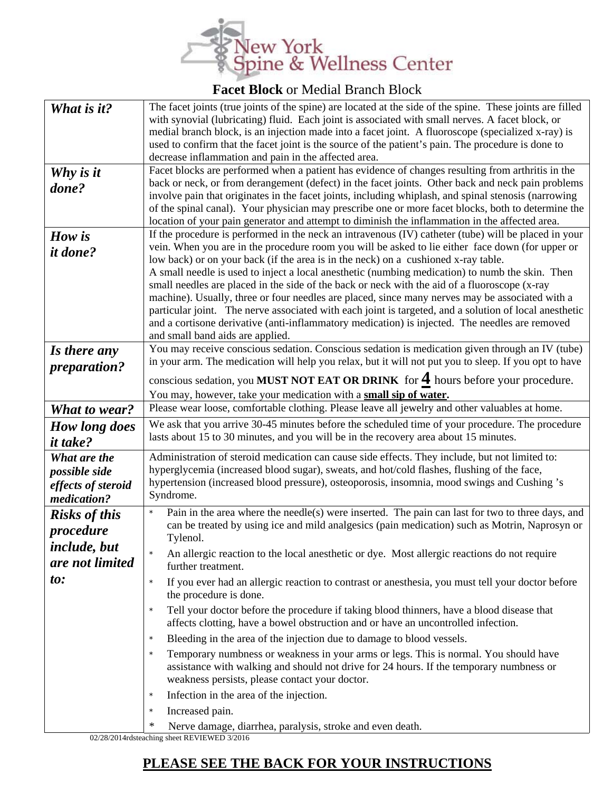

## **Facet Block** or Medial Branch Block

| What is it?          | The facet joints (true joints of the spine) are located at the side of the spine. These joints are filled                                                                              |  |
|----------------------|----------------------------------------------------------------------------------------------------------------------------------------------------------------------------------------|--|
|                      | with synovial (lubricating) fluid. Each joint is associated with small nerves. A facet block, or                                                                                       |  |
|                      | medial branch block, is an injection made into a facet joint. A fluoroscope (specialized x-ray) is                                                                                     |  |
|                      | used to confirm that the facet joint is the source of the patient's pain. The procedure is done to                                                                                     |  |
|                      | decrease inflammation and pain in the affected area.                                                                                                                                   |  |
| Why is it            | Facet blocks are performed when a patient has evidence of changes resulting from arthritis in the                                                                                      |  |
| done?                | back or neck, or from derangement (defect) in the facet joints. Other back and neck pain problems                                                                                      |  |
|                      | involve pain that originates in the facet joints, including whiplash, and spinal stenosis (narrowing                                                                                   |  |
|                      | of the spinal canal). Your physician may prescribe one or more facet blocks, both to determine the                                                                                     |  |
|                      | location of your pain generator and attempt to diminish the inflammation in the affected area.                                                                                         |  |
| How is               | If the procedure is performed in the neck an intravenous (IV) catheter (tube) will be placed in your                                                                                   |  |
| <i>it done?</i>      | vein. When you are in the procedure room you will be asked to lie either face down (for upper or<br>low back) or on your back (if the area is in the neck) on a cushioned x-ray table. |  |
|                      | A small needle is used to inject a local anesthetic (numbing medication) to numb the skin. Then                                                                                        |  |
|                      | small needles are placed in the side of the back or neck with the aid of a fluoroscope (x-ray                                                                                          |  |
|                      | machine). Usually, three or four needles are placed, since many nerves may be associated with a                                                                                        |  |
|                      | particular joint. The nerve associated with each joint is targeted, and a solution of local anesthetic                                                                                 |  |
|                      | and a cortisone derivative (anti-inflammatory medication) is injected. The needles are removed                                                                                         |  |
|                      | and small band aids are applied.                                                                                                                                                       |  |
| Is there any         | You may receive conscious sedation. Conscious sedation is medication given through an IV (tube)                                                                                        |  |
| <i>preparation?</i>  | in your arm. The medication will help you relax, but it will not put you to sleep. If you opt to have                                                                                  |  |
|                      | conscious sedation, you MUST NOT EAT OR DRINK for $\frac{4}{5}$ hours before your procedure.                                                                                           |  |
|                      | You may, however, take your medication with a small sip of water.                                                                                                                      |  |
| <b>What to wear?</b> | Please wear loose, comfortable clothing. Please leave all jewelry and other valuables at home.                                                                                         |  |
|                      | We ask that you arrive 30-45 minutes before the scheduled time of your procedure. The procedure                                                                                        |  |
| How long does        | lasts about 15 to 30 minutes, and you will be in the recovery area about 15 minutes.                                                                                                   |  |
| <i>it take?</i>      |                                                                                                                                                                                        |  |
| What are the         | Administration of steroid medication can cause side effects. They include, but not limited to:                                                                                         |  |
| possible side        | hyperglycemia (increased blood sugar), sweats, and hot/cold flashes, flushing of the face,                                                                                             |  |
| effects of steroid   | hypertension (increased blood pressure), osteoporosis, insomnia, mood swings and Cushing's                                                                                             |  |
| medication?          | Syndrome.                                                                                                                                                                              |  |
| <b>Risks of this</b> | Pain in the area where the needle(s) were inserted. The pain can last for two to three days, and<br>$\star$                                                                            |  |
| procedure            | can be treated by using ice and mild analgesics (pain medication) such as Motrin, Naprosyn or                                                                                          |  |
| include, but         | Tylenol.                                                                                                                                                                               |  |
| are not limited      | An allergic reaction to the local anesthetic or dye. Most allergic reactions do not require                                                                                            |  |
|                      | further treatment.                                                                                                                                                                     |  |
| to:                  | If you ever had an allergic reaction to contrast or anesthesia, you must tell your doctor before<br>the procedure is done.                                                             |  |
|                      | Tell your doctor before the procedure if taking blood thinners, have a blood disease that<br>$\star$                                                                                   |  |
|                      | affects clotting, have a bowel obstruction and or have an uncontrolled infection.                                                                                                      |  |
|                      | Bleeding in the area of the injection due to damage to blood vessels.<br>$\star$                                                                                                       |  |
|                      | Temporary numbness or weakness in your arms or legs. This is normal. You should have<br>$\star$                                                                                        |  |
|                      | assistance with walking and should not drive for 24 hours. If the temporary numbness or                                                                                                |  |
|                      | weakness persists, please contact your doctor.                                                                                                                                         |  |
|                      | Infection in the area of the injection.<br>$\star$                                                                                                                                     |  |
|                      |                                                                                                                                                                                        |  |
|                      | Increased pain.<br>$\star$                                                                                                                                                             |  |
|                      | ∗<br>Nerve damage, diarrhea, paralysis, stroke and even death.                                                                                                                         |  |

02/28/2014rdsteaching sheet REVIEWED 3/2016

## **PLEASE SEE THE BACK FOR YOUR INSTRUCTIONS**